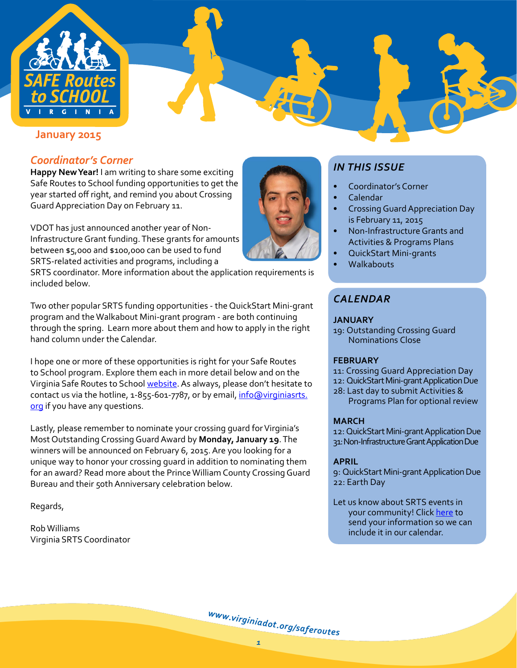

**[January 2015](http://www.virginiadot.org/programs/ted_Rt2_school_pro.asp)** 

# *Coordinator's Corner*

**Happy New Year!** I am writing to share some exciting Safe Routes to School funding opportunities to get the year started off right, and remind you about Crossing GuardAppreciation Day on February 11.

VDOT has just announced another year of Non-InfrastructureGrant funding.These grants for amounts between \$5,000 and \$100,000 can be used to fund SRTS-related activities and programs, including a

SRTS coordinator. More information about the application requirements is included below.

Two other popular SRTS funding opportunities - the QuickStart Mini-grant program and theWalkabout Mini-grant program - are both continuing through the spring. Learn more about them and how to apply in the right hand column under the Calendar.

I hope one or more of these opportunities is right for your Safe Routes to School program. Explore them each in more detail below and on the Virginia Safe Routes to School [website.](http://www.virginiadot.org/programs/ted_Rt2_school_pro.asp) As always, please don't hesitate to contact us via the hotline, 1-855-601-7787, or by email, [info@virginiasrts.](mailto:info%40virginasrts.org?subject=) [org](mailto:info%40virginasrts.org?subject=) if you have any questions.

Lastly, please remember to nominate your crossing quard for Virginia's Most Outstanding Crossing Guard Award by Monday, January 19. The winners will be announced on February 6, 2015. Are you looking for a unique way to honor your crossing guard in addition to nominating them for an award? Read more about the Prince William County Crossing Guard Bureau and their 50thAnniversary celebration below.

Regards,

RobWilliams Virginia SRTS Coordinator



# *IN THIS ISSUE*

- Coordinator's Corner
- [Calendar](#page-0-0)
- Crossing Guard Appreciation Day is [February](#page-1-0) 11, 2015
- Non-Infrastructure Grants and Activities & [Programs](#page-1-1) Plans
- **[QuickStart](#page-2-0) Mini-grants**
- **[Walkabouts](#page-3-0)**

# <span id="page-0-0"></span>*Calendar*

#### **JANUARY**

19: Outstanding Crossing Guard Nominations Close

### **FEBRUARY**

- 11: Crossing Guard Appreciation Day
- 12: QuickStart Mini-grant Application Due
- 28: Last day to submit Activities & Programs Plan for optional review

# **MARCH**

12: QuickStart Mini-grant Application Due 31:Non-InfrastructureGrantApplicationDue

# **APRIL**

- 9: QuickStart Mini-grantApplicationDue 22: Earth Day
- Let us know about SRTS events in your community! Click [here](mailto:info%40virginiasrts.org?subject=Event%20Calendar) to send your information so we can include it in our calendar.

[w](http://www.virginiadot.org/saferoutes)ww.[v](http://www.virginiadot.org/saferoutes)[i](http://www.virginiadot.org/saferoutes)[r](http://www.virginiadot.org/saferoutes)[g](http://www.virginiadot.org/saferoutes)i[n](http://www.virginiadot.org/saferoutes)i[a](http://www.virginiadot.org/saferoutes)[d](http://www.virginiadot.org/saferoutes)[o](http://www.virginiadot.org/saferoutes)[t](http://www.virginiadot.org/saferoutes).org[/](http://www.virginiadot.org/saferoutes)[s](http://www.virginiadot.org/saferoutes)a[f](http://www.virginiadot.org/saferoutes)[e](http://www.virginiadot.org/saferoutes)ro[u](http://www.virginiadot.org/saferoutes)tes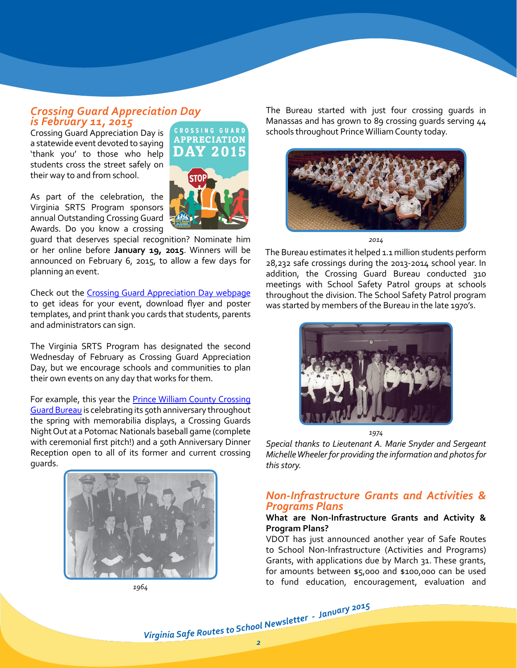# <span id="page-1-0"></span>*Crossing Guard Appreciation Day is February 11, 2015*

Crossing Guard Appreciation Day is a statewide event devoted to saying 'thank you' to those who help students cross the street safely on their way to and from school.

As part of the celebration, the Virginia SRTS Program sponsors annual Outstanding Crossing Guard Awards. Do you know a crossing

guard that deserves special recognition? Nominate him or her online before **January 19, 2015**. Winners will be announced on February 6, 2015, to allow a few days for planning an event.

Check out the Crossing Guard [Appreciation](http://www.virginiadot.org/programs/srsm_crossing_guard_appreciation_day.asp) Day webpage to get ideas for your event, download flyer and poster templates, and print thank you cards that students, parents and administrators can sign.

The Virginia SRTS Program has designated the second Wednesday of February as Crossing Guard Appreciation Day, but we encourage schools and communities to plan their own events on any day that works for them.

For example, this year the **Prince William County [Crossing](http://www.pwcgov.org/government/dept/police/Pages/Crossing-Guard-Bureau.aspx)** Guard Bureau is celebrating its 50th anniversary throughout the spring with memorabilia displays, a Crossing Guards Night Out at a Potomac Nationals baseball game (complete with ceremonial first pitch!) and a 50th Anniversary Dinner Reception open to all of its former and current crossing guards.







The Bureau started with just four crossing guards in Manassas and has grown to 89 crossing guards serving 44 schools throughout Prince William County today.



*2014*

The Bureau estimates it helped 1.1 million students perform 28,232 safe crossings during the 2013-2014 school year. In addition, the Crossing Guard Bureau conducted 310 meetings with School Safety Patrol groups at schools throughout the division. The School Safety Patrol program was started by members of the Bureau in the late 1970's.



*1974*

*Special thanks to Lieutenant A. Marie Snyder and Sergeant Michelle Wheeler for providing the information and photos for this story.* 

## <span id="page-1-1"></span>*Non-Infrastructure Grants and Activities & Programs Plans*

#### **What are Non-Infrastructure Grants and Activity & Program Plans?**

VDOT has just announced another year of Safe Routes to School Non-Infrastructure (Activities and Programs) Grants, with applications due by March 31. These grants, for amounts between \$5,000 and \$100,000 can be used to fund education, encouragement, evaluation and

Virginia Safe Routes to School Newsletter - January 2015<br>2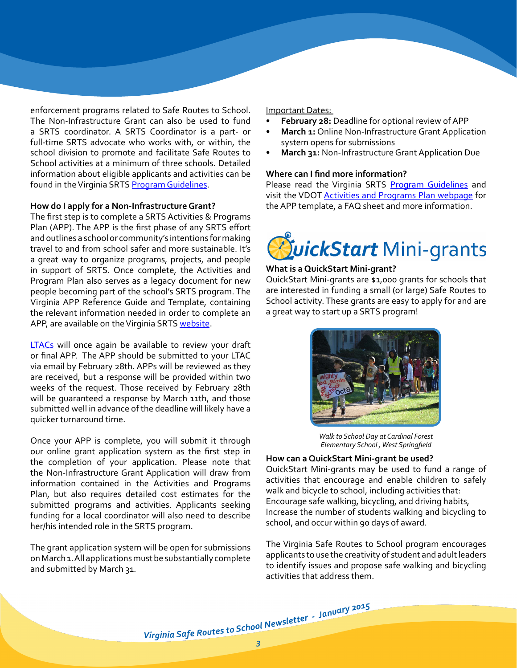enforcement programs related to Safe Routes to School. The Non-Infrastructure Grant can also be used to fund a SRTS coordinator. A SRTS Coordinator is a part- or full-time SRTS advocate who works with, or within, the school division to promote and facilitate Safe Routes to School activities at a minimum of three schools. Detailed information about eligible applicants and activities can be found in the Virginia SRTS Program [Guidelines](https://www.dropbox.com/s/e4t1t83o0ohgdoq/VDOT_SRTS%20Guidelines_2015.pdf?dl=0).

#### **How do I apply for a Non-Infrastructure Grant?**

The first step is to complete a SRTS Activities & Programs Plan (APP). The APP is the first phase of any SRTS effort and outlines a school or community's intentions for making travel to and from school safer and more sustainable. It's a great way to organize programs, projects, and people in support of SRTS. Once complete, the Activities and Program Plan also serves as a legacy document for new people becoming part of the school's SRTS program. The Virginia APP Reference Guide and Template, containing the relevant information needed in order to complete an APP, are available on the Virginia SRTS [website](http://www.virginiadot.org/programs/srsm_srts_activities_and_programs_plan_app_for_non-infrastructure_grantsactivities_and_programs_plan_non-infrastructure_act.asp).

[LTACs](http://www.virginiadot.org/programs/srsm_contact_us.asp) will once again be available to review your draft or final APP. The APP should be submitted to your LTAC via email by February 28th. APPs will be reviewed as they are received, but a response will be provided within two weeks of the request. Those received by February 28th will be guaranteed a response by March 11th, and those submitted well in advance of the deadline will likely have a quicker turnaround time.

Once your APP is complete, you will submit it through our online grant application system as the first step in the completion of your application. Please note that the Non-Infrastructure Grant Application will draw from information contained in the Activities and Programs Plan, but also requires detailed cost estimates for the submitted programs and activities. Applicants seeking funding for a local coordinator will also need to describe her/his intended role in the SRTS program.

The grant application system will be open for submissions on March 1. All applications must be substantially complete and submitted by March 31.

Important Dates:

- **February 28:** Deadline for optional review of APP
- **March 1:** Online Non-Infrastructure Grant Application system opens for submissions
- **March 31: Non-Infrastructure Grant Application Due**

#### **Where can I find more information?**

Please read the Virginia SRTS Program [Guidelines](https://www.dropbox.com/s/e4t1t83o0ohgdoq/VDOT_SRTS%20Guidelines_2015.pdf?dl=0) and visit the VDOT Activities and [Programs](http://www.virginiadot.org/programs/srsm_srts_activities_and_programs_plan_app_for_non-infrastructure_grantsactivities_and_programs_plan_non-infrastructure_act.asp) Plan webpage for theAPP template, a FAQ sheet and more information.



#### <span id="page-2-0"></span>**What is a QuickStart Mini-grant?**

QuickStart Mini-grants are \$1,000 grants for schools that are interested in funding a small (or large) Safe Routes to School activity. These grants are easy to apply for and are a great way to start up a SRTS program!



*Walk to School Day at Cardinal Forest Elementary School , West Springfield*

#### **How can a QuickStart Mini-grant be used?**

QuickStart Mini-grants may be used to fund a range of activities that encourage and enable children to safely walk and bicycle to school, including activities that: Encourage safe walking, bicycling, and driving habits, Increase the number of students walking and bicycling to school, and occur within 90 days of award.

The Virginia Safe Routes to School program encourages applicants to use the creativity of student and adult leaders to identify issues and propose safe walking and bicycling activities that address them.

Virginia Safe Routes to School Newsletter - January 2015<br>3